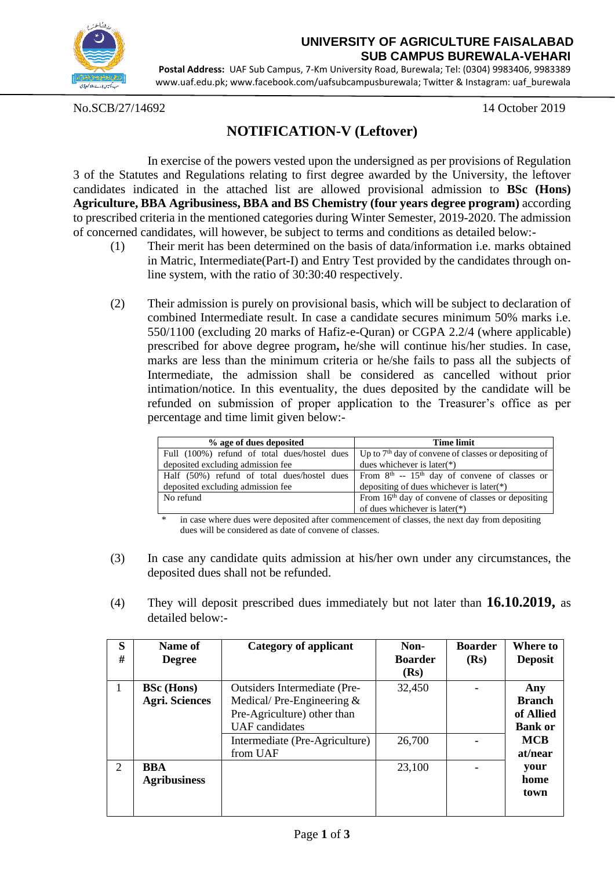

## **UNIVERSITY OF AGRICULTURE FAISALABAD SUB CAMPUS BUREWALA-VEHARI**

**Postal Address:** UAF Sub Campus, 7-Km University Road, Burewala; Tel: (0304) 9983406, 9983389 [www.uaf.edu.pk;](http://www.uaf.edu.pk/) [www.facebook.com/uafsubcampusburewala;](http://www.facebook.com/uafsubcampusburewala) Twitter & Instagram: uaf\_burewala

No.SCB/27/14692 14 October 2019

## **NOTIFICATION-V (Leftover)**

In exercise of the powers vested upon the undersigned as per provisions of Regulation 3 of the Statutes and Regulations relating to first degree awarded by the University, the leftover candidates indicated in the attached list are allowed provisional admission to **BSc (Hons) Agriculture, BBA Agribusiness, BBA and BS Chemistry (four years degree program)** according to prescribed criteria in the mentioned categories during Winter Semester, 2019-2020. The admission of concerned candidates, will however, be subject to terms and conditions as detailed below:-

- (1) Their merit has been determined on the basis of data/information i.e. marks obtained in Matric, Intermediate(Part-I) and Entry Test provided by the candidates through online system, with the ratio of 30:30:40 respectively.
- (2) Their admission is purely on provisional basis, which will be subject to declaration of combined Intermediate result. In case a candidate secures minimum 50% marks i.e. 550/1100 (excluding 20 marks of Hafiz-e-Quran) or CGPA 2.2/4 (where applicable) prescribed for above degree program**,** he/she will continue his/her studies. In case, marks are less than the minimum criteria or he/she fails to pass all the subjects of Intermediate, the admission shall be considered as cancelled without prior intimation/notice. In this eventuality, the dues deposited by the candidate will be refunded on submission of proper application to the Treasurer's office as per percentage and time limit given below:-

| % age of dues deposited                      | <b>Time limit</b>                                             |  |  |
|----------------------------------------------|---------------------------------------------------------------|--|--|
| Full (100%) refund of total dues/hostel dues | Up to $7th$ day of convene of classes or depositing of        |  |  |
| deposited excluding admission fee            | dues whichever is later( $*$ )                                |  |  |
| Half (50%) refund of total dues/hostel dues  | From $8th$ -- 15 <sup>th</sup> day of convene of classes or   |  |  |
| deposited excluding admission fee            | depositing of dues whichever is later(*)                      |  |  |
| No refund                                    | From 16 <sup>th</sup> day of convene of classes or depositing |  |  |
|                                              | of dues whichever is later( $*$ )                             |  |  |

in case where dues were deposited after commencement of classes, the next day from depositing dues will be considered as date of convene of classes.

- (3) In case any candidate quits admission at his/her own under any circumstances, the deposited dues shall not be refunded.
- (4) They will deposit prescribed dues immediately but not later than **16.10.2019,** as detailed below:-

| S<br>#         | Name of<br><b>Degree</b> | <b>Category of applicant</b>        | Non-<br><b>Boarder</b><br>(Rs) | <b>Boarder</b><br>(Rs) | <b>Where to</b><br><b>Deposit</b> |
|----------------|--------------------------|-------------------------------------|--------------------------------|------------------------|-----------------------------------|
|                | <b>BSc</b> (Hons)        | <b>Outsiders Intermediate (Pre-</b> | 32,450                         |                        | Any                               |
|                | <b>Agri. Sciences</b>    | Medical/Pre-Engineering $&$         |                                |                        | <b>Branch</b>                     |
|                |                          | Pre-Agriculture) other than         |                                |                        | of Allied                         |
|                |                          | <b>UAF</b> candidates               |                                |                        | <b>Bank or</b>                    |
|                |                          | Intermediate (Pre-Agriculture)      | 26,700                         |                        | <b>MCB</b>                        |
|                |                          | from UAF                            |                                |                        | at/near                           |
| $\overline{2}$ | <b>BBA</b>               |                                     | 23,100                         |                        | your                              |
|                | <b>Agribusiness</b>      |                                     |                                |                        | home                              |
|                |                          |                                     |                                |                        | town                              |
|                |                          |                                     |                                |                        |                                   |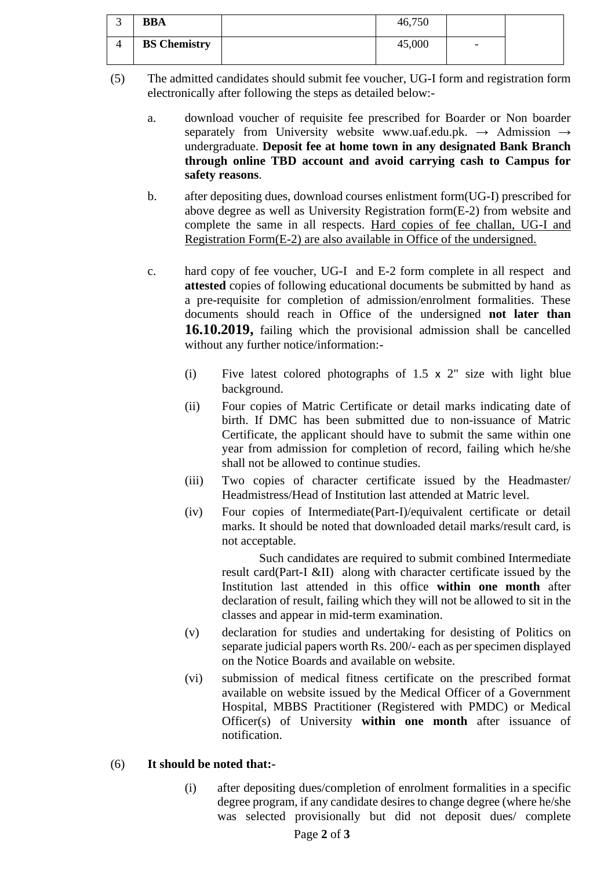| ت | <b>BBA</b>          | 46,750 |                          |  |
|---|---------------------|--------|--------------------------|--|
|   | <b>BS Chemistry</b> | 45,000 | $\overline{\phantom{0}}$ |  |

(5) The admitted candidates should submit fee voucher, UG-I form and registration form electronically after following the steps as detailed below:-

- a. download voucher of requisite fee prescribed for Boarder or Non boarder separately from University website [www.uaf.edu.pk.](http://www.uaf.edu.pk/)  $\rightarrow$  Admission  $\rightarrow$ undergraduate. **Deposit fee at home town in any designated Bank Branch through online TBD account and avoid carrying cash to Campus for safety reasons**.
- b. after depositing dues, download courses enlistment form(UG-I) prescribed for above degree as well as University Registration form(E-2) from website and complete the same in all respects. Hard copies of fee challan, UG-I and Registration Form(E-2) are also available in Office of the undersigned.
- c. hard copy of fee voucher, UG-I and E-2 form complete in all respect and **attested** copies of following educational documents be submitted by hand as a pre-requisite for completion of admission/enrolment formalities. These documents should reach in Office of the undersigned **not later than 16.10.2019,** failing which the provisional admission shall be cancelled without any further notice/information:-
	- (i) Five latest colored photographs of 1.5 x 2" size with light blue background.
	- (ii) Four copies of Matric Certificate or detail marks indicating date of birth. If DMC has been submitted due to non-issuance of Matric Certificate, the applicant should have to submit the same within one year from admission for completion of record, failing which he/she shall not be allowed to continue studies.
	- (iii) Two copies of character certificate issued by the Headmaster/ Headmistress/Head of Institution last attended at Matric level.
	- (iv) Four copies of Intermediate(Part-I)/equivalent certificate or detail marks. It should be noted that downloaded detail marks/result card, is not acceptable.

Such candidates are required to submit combined Intermediate result card(Part-I &II) along with character certificate issued by the Institution last attended in this office **within one month** after declaration of result, failing which they will not be allowed to sit in the classes and appear in mid-term examination.

- (v) declaration for studies and undertaking for desisting of Politics on separate judicial papers worth Rs. 200/- each as per specimen displayed on the Notice Boards and available on website.
- (vi) submission of medical fitness certificate on the prescribed format available on website issued by the Medical Officer of a Government Hospital, MBBS Practitioner (Registered with PMDC) or Medical Officer(s) of University **within one month** after issuance of notification.

## (6) **It should be noted that:-**

(i) after depositing dues/completion of enrolment formalities in a specific degree program, if any candidate desires to change degree (where he/she was selected provisionally but did not deposit dues/ complete